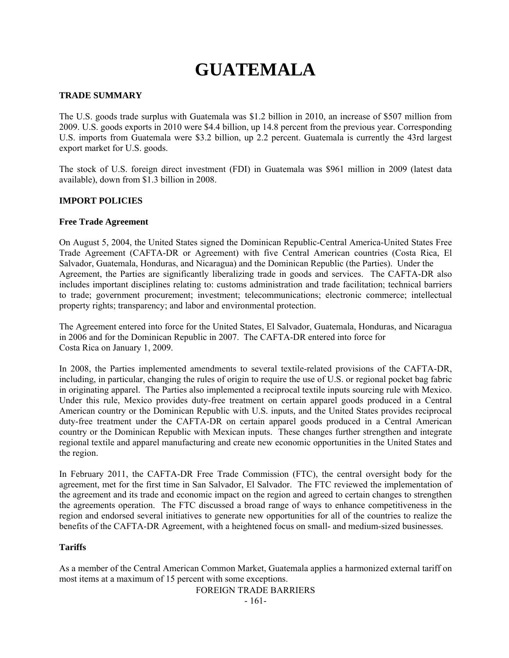# **GUATEMALA**

# **TRADE SUMMARY**

The U.S. goods trade surplus with Guatemala was \$1.2 billion in 2010, an increase of \$507 million from 2009. U.S. goods exports in 2010 were \$4.4 billion, up 14.8 percent from the previous year. Corresponding U.S. imports from Guatemala were \$3.2 billion, up 2.2 percent. Guatemala is currently the 43rd largest export market for U.S. goods.

The stock of U.S. foreign direct investment (FDI) in Guatemala was \$961 million in 2009 (latest data available), down from \$1.3 billion in 2008.

# **IMPORT POLICIES**

## **Free Trade Agreement**

On August 5, 2004, the United States signed the Dominican Republic-Central America-United States Free Trade Agreement (CAFTA-DR or Agreement) with five Central American countries (Costa Rica, El Salvador, Guatemala, Honduras, and Nicaragua) and the Dominican Republic (the Parties). Under the Agreement, the Parties are significantly liberalizing trade in goods and services. The CAFTA-DR also includes important disciplines relating to: customs administration and trade facilitation; technical barriers to trade; government procurement; investment; telecommunications; electronic commerce; intellectual property rights; transparency; and labor and environmental protection.

The Agreement entered into force for the United States, El Salvador, Guatemala, Honduras, and Nicaragua in 2006 and for the Dominican Republic in 2007. The CAFTA-DR entered into force for Costa Rica on January 1, 2009.

In 2008, the Parties implemented amendments to several textile-related provisions of the CAFTA-DR, including, in particular, changing the rules of origin to require the use of U.S. or regional pocket bag fabric in originating apparel. The Parties also implemented a reciprocal textile inputs sourcing rule with Mexico. Under this rule, Mexico provides duty-free treatment on certain apparel goods produced in a Central American country or the Dominican Republic with U.S. inputs, and the United States provides reciprocal duty-free treatment under the CAFTA-DR on certain apparel goods produced in a Central American country or the Dominican Republic with Mexican inputs. These changes further strengthen and integrate regional textile and apparel manufacturing and create new economic opportunities in the United States and the region.

In February 2011, the CAFTA-DR Free Trade Commission (FTC), the central oversight body for the agreement, met for the first time in San Salvador, El Salvador. The FTC reviewed the implementation of the agreement and its trade and economic impact on the region and agreed to certain changes to strengthen the agreements operation. The FTC discussed a broad range of ways to enhance competitiveness in the region and endorsed several initiatives to generate new opportunities for all of the countries to realize the benefits of the CAFTA-DR Agreement, with a heightened focus on small- and medium-sized businesses.

## **Tariffs**

As a member of the Central American Common Market, Guatemala applies a harmonized external tariff on most items at a maximum of 15 percent with some exceptions.

FOREIGN TRADE BARRIERS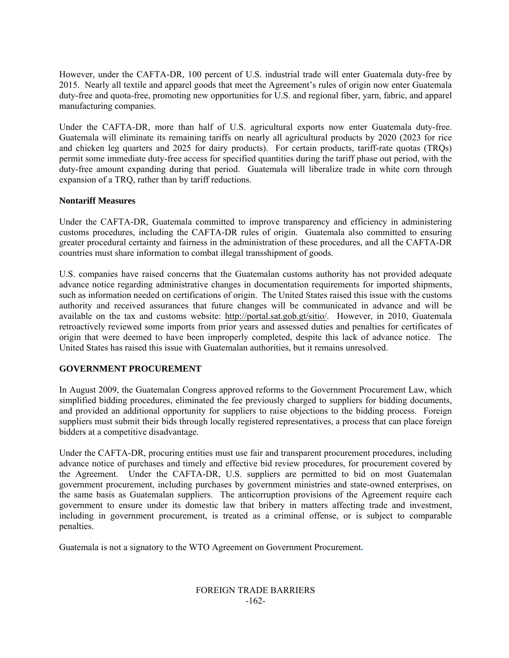However, under the CAFTA-DR, 100 percent of U.S. industrial trade will enter Guatemala duty-free by 2015. Nearly all textile and apparel goods that meet the Agreement's rules of origin now enter Guatemala duty-free and quota-free, promoting new opportunities for U.S. and regional fiber, yarn, fabric, and apparel manufacturing companies.

Under the CAFTA-DR, more than half of U.S. agricultural exports now enter Guatemala duty-free. Guatemala will eliminate its remaining tariffs on nearly all agricultural products by 2020 (2023 for rice and chicken leg quarters and 2025 for dairy products). For certain products, tariff-rate quotas (TRQs) permit some immediate duty-free access for specified quantities during the tariff phase out period, with the duty-free amount expanding during that period. Guatemala will liberalize trade in white corn through expansion of a TRQ, rather than by tariff reductions.

# **Nontariff Measures**

Under the CAFTA-DR, Guatemala committed to improve transparency and efficiency in administering customs procedures, including the CAFTA-DR rules of origin. Guatemala also committed to ensuring greater procedural certainty and fairness in the administration of these procedures, and all the CAFTA-DR countries must share information to combat illegal transshipment of goods.

U.S. companies have raised concerns that the Guatemalan customs authority has not provided adequate advance notice regarding administrative changes in documentation requirements for imported shipments, such as information needed on certifications of origin. The United States raised this issue with the customs authority and received assurances that future changes will be communicated in advance and will be available on the tax and customs website: http://portal.sat.gob.gt/sitio/. However, in 2010, Guatemala retroactively reviewed some imports from prior years and assessed duties and penalties for certificates of origin that were deemed to have been improperly completed, despite this lack of advance notice. The United States has raised this issue with Guatemalan authorities, but it remains unresolved.

# **GOVERNMENT PROCUREMENT**

In August 2009, the Guatemalan Congress approved reforms to the Government Procurement Law, which simplified bidding procedures, eliminated the fee previously charged to suppliers for bidding documents, and provided an additional opportunity for suppliers to raise objections to the bidding process. Foreign suppliers must submit their bids through locally registered representatives, a process that can place foreign bidders at a competitive disadvantage.

Under the CAFTA-DR, procuring entities must use fair and transparent procurement procedures, including advance notice of purchases and timely and effective bid review procedures, for procurement covered by the Agreement. Under the CAFTA-DR, U.S. suppliers are permitted to bid on most Guatemalan government procurement, including purchases by government ministries and state-owned enterprises, on the same basis as Guatemalan suppliers. The anticorruption provisions of the Agreement require each government to ensure under its domestic law that bribery in matters affecting trade and investment, including in government procurement, is treated as a criminal offense, or is subject to comparable penalties.

Guatemala is not a signatory to the WTO Agreement on Government Procurement**.** 

#### FOREIGN TRADE BARRIERS -162-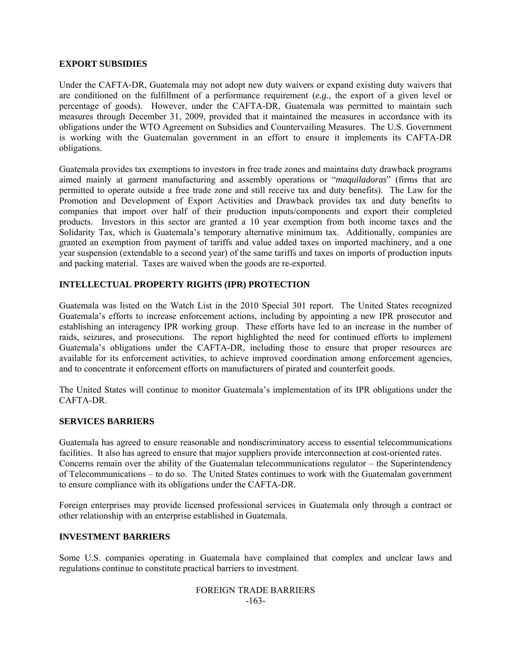## **EXPORT SUBSIDIES**

Under the CAFTA-DR, Guatemala may not adopt new duty waivers or expand existing duty waivers that are conditioned on the fulfillment of a performance requirement (*e.g.*, the export of a given level or percentage of goods). However, under the CAFTA-DR, Guatemala was permitted to maintain such measures through December 31, 2009, provided that it maintained the measures in accordance with its obligations under the WTO Agreement on Subsidies and Countervailing Measures. The U.S. Government is working with the Guatemalan government in an effort to ensure it implements its CAFTA-DR obligations.

Guatemala provides tax exemptions to investors in free trade zones and maintains duty drawback programs aimed mainly at garment manufacturing and assembly operations or "*maquiladoras*" (firms that are permitted to operate outside a free trade zone and still receive tax and duty benefits). The Law for the Promotion and Development of Export Activities and Drawback provides tax and duty benefits to companies that import over half of their production inputs/components and export their completed products. Investors in this sector are granted a 10 year exemption from both income taxes and the Solidarity Tax, which is Guatemala's temporary alternative minimum tax. Additionally, companies are granted an exemption from payment of tariffs and value added taxes on imported machinery, and a one year suspension (extendable to a second year) of the same tariffs and taxes on imports of production inputs and packing material. Taxes are waived when the goods are re-exported.

## **INTELLECTUAL PROPERTY RIGHTS (IPR) PROTECTION**

Guatemala was listed on the Watch List in the 2010 Special 301 report. The United States recognized Guatemala's efforts to increase enforcement actions, including by appointing a new IPR prosecutor and establishing an interagency IPR working group. These efforts have led to an increase in the number of raids, seizures, and prosecutions. The report highlighted the need for continued efforts to implement Guatemala's obligations under the CAFTA-DR, including those to ensure that proper resources are available for its enforcement activities, to achieve improved coordination among enforcement agencies, and to concentrate it enforcement efforts on manufacturers of pirated and counterfeit goods.

The United States will continue to monitor Guatemala's implementation of its IPR obligations under the CAFTA-DR.

## **SERVICES BARRIERS**

Guatemala has agreed to ensure reasonable and nondiscriminatory access to essential telecommunications facilities. It also has agreed to ensure that major suppliers provide interconnection at cost-oriented rates. Concerns remain over the ability of the Guatemalan telecommunications regulator – the Superintendency of Telecommunications – to do so. The United States continues to work with the Guatemalan government to ensure compliance with its obligations under the CAFTA-DR.

Foreign enterprises may provide licensed professional services in Guatemala only through a contract or other relationship with an enterprise established in Guatemala.

# **INVESTMENT BARRIERS**

Some U.S. companies operating in Guatemala have complained that complex and unclear laws and regulations continue to constitute practical barriers to investment.

#### FOREIGN TRADE BARRIERS -163-